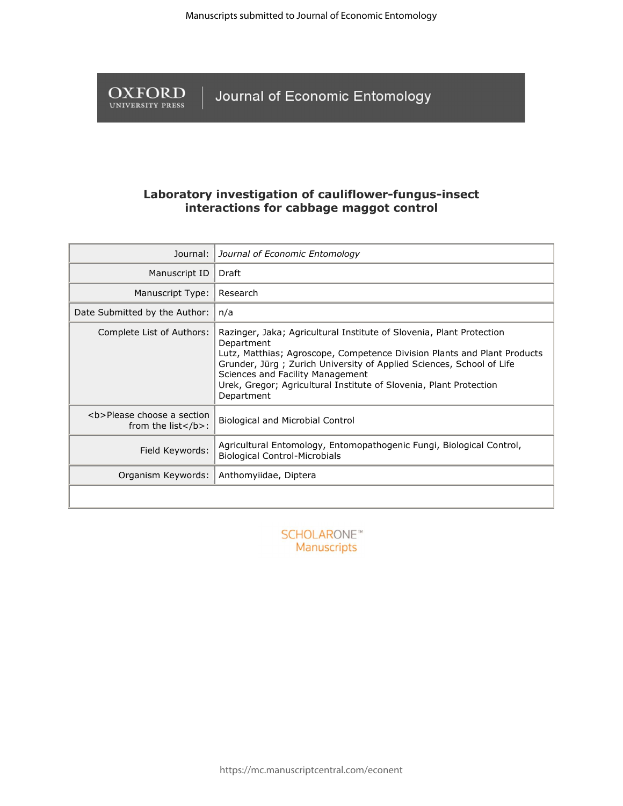**OXFORD** Journal of Economic Entomology

# **Laboratory investigation of cauliflower-fungus-insect interactions for cabbage maggot control**

| Journal:                                                                        | Journal of Economic Entomology                                                                                                                                                                                                                                                                                                                                 |  |  |  |
|---------------------------------------------------------------------------------|----------------------------------------------------------------------------------------------------------------------------------------------------------------------------------------------------------------------------------------------------------------------------------------------------------------------------------------------------------------|--|--|--|
| Manuscript ID                                                                   | Draft                                                                                                                                                                                                                                                                                                                                                          |  |  |  |
| Manuscript Type:                                                                | Research                                                                                                                                                                                                                                                                                                                                                       |  |  |  |
| Date Submitted by the Author:                                                   | n/a                                                                                                                                                                                                                                                                                                                                                            |  |  |  |
| Complete List of Authors:                                                       | Razinger, Jaka; Agricultural Institute of Slovenia, Plant Protection<br>Department<br>Lutz, Matthias; Agroscope, Competence Division Plants and Plant Products<br>Grunder, Jürg; Zurich University of Applied Sciences, School of Life<br>Sciences and Facility Management<br>Urek, Gregor; Agricultural Institute of Slovenia, Plant Protection<br>Department |  |  |  |
| <b>Please choose a section<br/>from the list<math>\langle b \rangle</math>:</b> | <b>Biological and Microbial Control</b>                                                                                                                                                                                                                                                                                                                        |  |  |  |
| Field Keywords:                                                                 | Agricultural Entomology, Entomopathogenic Fungi, Biological Control,<br><b>Biological Control-Microbials</b>                                                                                                                                                                                                                                                   |  |  |  |
| Organism Keywords:                                                              | Anthomyiidae, Diptera                                                                                                                                                                                                                                                                                                                                          |  |  |  |
|                                                                                 |                                                                                                                                                                                                                                                                                                                                                                |  |  |  |

**SCHOLARONE™** Manuscripts

https://mc.manuscriptcentral.com/econent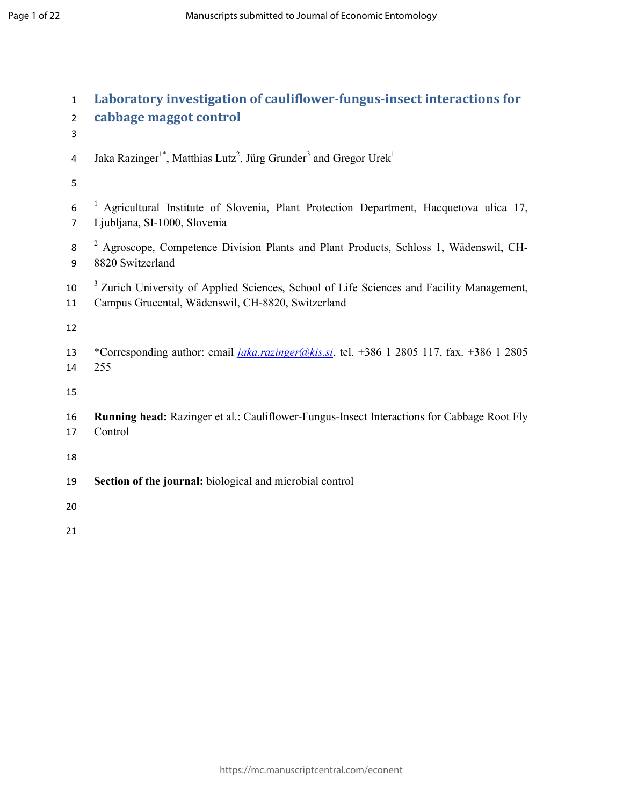| $\mathbf{1}$<br>$\overline{2}$<br>3 | Laboratory investigation of cauliflower-fungus-insect interactions for<br>cabbage maggot control                                                          |
|-------------------------------------|-----------------------------------------------------------------------------------------------------------------------------------------------------------|
| $\overline{4}$                      | Jaka Razinger <sup>1*</sup> , Matthias Lutz <sup>2</sup> , Jürg Grunder <sup>3</sup> and Gregor Urek <sup>1</sup>                                         |
| 5                                   |                                                                                                                                                           |
| $\boldsymbol{6}$<br>$\overline{7}$  | <sup>1</sup> Agricultural Institute of Slovenia, Plant Protection Department, Hacquetova ulica 17,<br>Ljubljana, SI-1000, Slovenia                        |
| 8<br>9                              | <sup>2</sup> Agroscope, Competence Division Plants and Plant Products, Schloss 1, Wädenswil, CH-<br>8820 Switzerland                                      |
| 10<br>11                            | <sup>3</sup> Zurich University of Applied Sciences, School of Life Sciences and Facility Management,<br>Campus Grueental, Wädenswil, CH-8820, Switzerland |
| 12                                  |                                                                                                                                                           |
| 13<br>14                            | *Corresponding author: email <i>jaka.razinger@kis.si</i> , tel. +386 1 2805 117, fax. +386 1 2805<br>255                                                  |
| 15                                  |                                                                                                                                                           |
| 16<br>17                            | Running head: Razinger et al.: Cauliflower-Fungus-Insect Interactions for Cabbage Root Fly<br>Control                                                     |
| 18                                  |                                                                                                                                                           |
| 19                                  | Section of the journal: biological and microbial control                                                                                                  |
| 20                                  |                                                                                                                                                           |
| 21                                  |                                                                                                                                                           |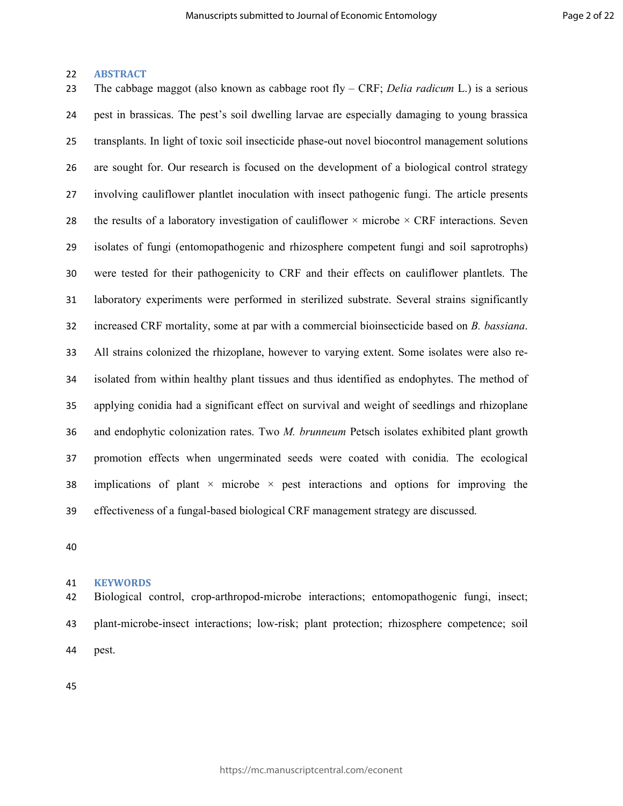### **ABSTRACT**

The cabbage maggot (also known as cabbage root fly – CRF; *Delia radicum* L.) is a serious pest in brassicas. The pest's soil dwelling larvae are especially damaging to young brassica transplants. In light of toxic soil insecticide phase-out novel biocontrol management solutions are sought for. Our research is focused on the development of a biological control strategy involving cauliflower plantlet inoculation with insect pathogenic fungi. The article presents 28 the results of a laboratory investigation of cauliflower  $\times$  microbe  $\times$  CRF interactions. Seven isolates of fungi (entomopathogenic and rhizosphere competent fungi and soil saprotrophs) were tested for their pathogenicity to CRF and their effects on cauliflower plantlets. The laboratory experiments were performed in sterilized substrate. Several strains significantly increased CRF mortality, some at par with a commercial bioinsecticide based on *B. bassiana*. All strains colonized the rhizoplane, however to varying extent. Some isolates were also re-isolated from within healthy plant tissues and thus identified as endophytes. The method of applying conidia had a significant effect on survival and weight of seedlings and rhizoplane and endophytic colonization rates. Two *M. brunneum* Petsch isolates exhibited plant growth promotion effects when ungerminated seeds were coated with conidia. The ecological 38 implications of plant  $\times$  microbe  $\times$  pest interactions and options for improving the effectiveness of a fungal-based biological CRF management strategy are discussed.

#### **KEYWORDS**

Biological control, crop-arthropod-microbe interactions; entomopathogenic fungi, insect; plant-microbe-insect interactions; low-risk; plant protection; rhizosphere competence; soil pest.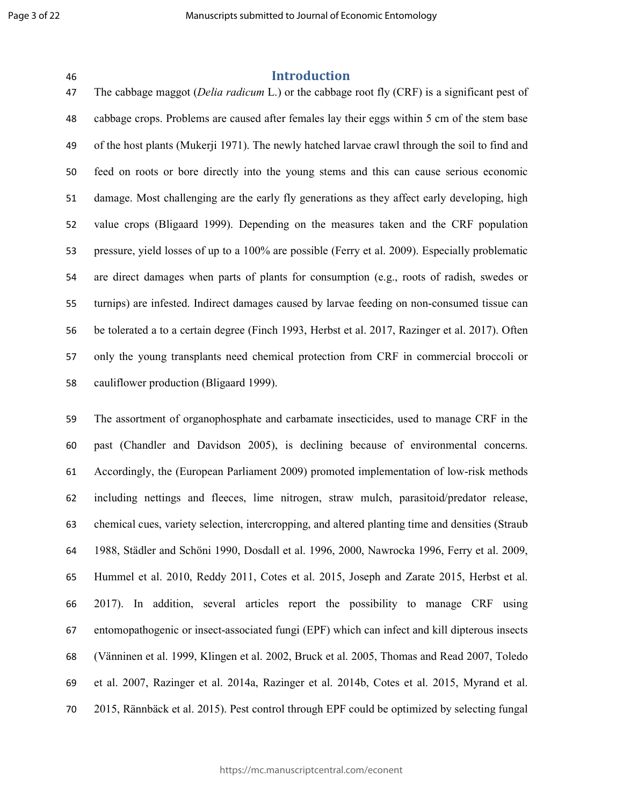# **Introduction**

The cabbage maggot (*Delia radicum* L.) or the cabbage root fly (CRF) is a significant pest of cabbage crops. Problems are caused after females lay their eggs within 5 cm of the stem base of the host plants (Mukerji 1971). The newly hatched larvae crawl through the soil to find and feed on roots or bore directly into the young stems and this can cause serious economic damage. Most challenging are the early fly generations as they affect early developing, high value crops (Bligaard 1999). Depending on the measures taken and the CRF population pressure, yield losses of up to a 100% are possible (Ferry et al. 2009). Especially problematic are direct damages when parts of plants for consumption (e.g., roots of radish, swedes or turnips) are infested. Indirect damages caused by larvae feeding on non-consumed tissue can be tolerated a to a certain degree (Finch 1993, Herbst et al. 2017, Razinger et al. 2017). Often only the young transplants need chemical protection from CRF in commercial broccoli or cauliflower production (Bligaard 1999).

The assortment of organophosphate and carbamate insecticides, used to manage CRF in the past (Chandler and Davidson 2005), is declining because of environmental concerns. Accordingly, the (European Parliament 2009) promoted implementation of low-risk methods including nettings and fleeces, lime nitrogen, straw mulch, parasitoid/predator release, chemical cues, variety selection, intercropping, and altered planting time and densities (Straub 1988, Städler and Schöni 1990, Dosdall et al. 1996, 2000, Nawrocka 1996, Ferry et al. 2009, Hummel et al. 2010, Reddy 2011, Cotes et al. 2015, Joseph and Zarate 2015, Herbst et al. 2017). In addition, several articles report the possibility to manage CRF using entomopathogenic or insect-associated fungi (EPF) which can infect and kill dipterous insects (Vänninen et al. 1999, Klingen et al. 2002, Bruck et al. 2005, Thomas and Read 2007, Toledo et al. 2007, Razinger et al. 2014a, Razinger et al. 2014b, Cotes et al. 2015, Myrand et al. 2015, Rännbäck et al. 2015). Pest control through EPF could be optimized by selecting fungal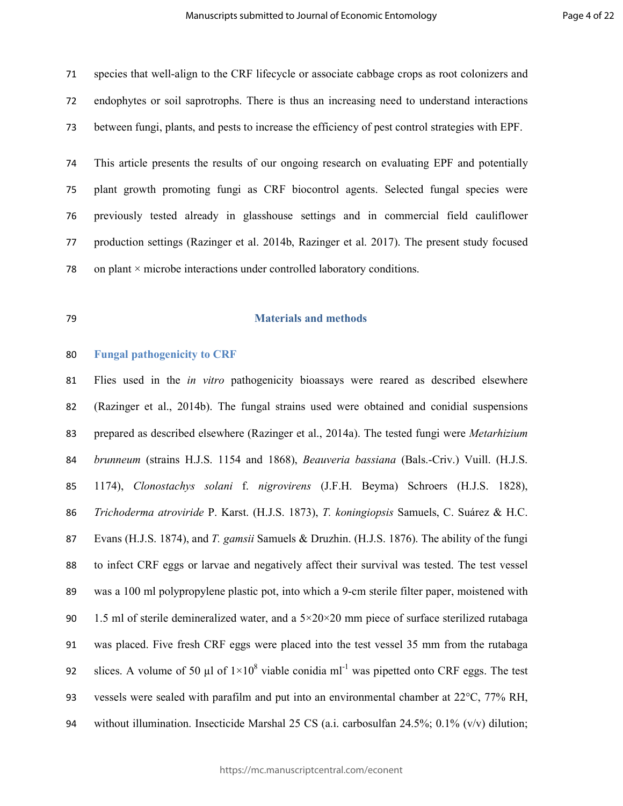species that well-align to the CRF lifecycle or associate cabbage crops as root colonizers and endophytes or soil saprotrophs. There is thus an increasing need to understand interactions between fungi, plants, and pests to increase the efficiency of pest control strategies with EPF.

This article presents the results of our ongoing research on evaluating EPF and potentially plant growth promoting fungi as CRF biocontrol agents. Selected fungal species were previously tested already in glasshouse settings and in commercial field cauliflower production settings (Razinger et al. 2014b, Razinger et al. 2017). The present study focused 78 on plant  $\times$  microbe interactions under controlled laboratory conditions.

# **Materials and methods**

## **Fungal pathogenicity to CRF**

Flies used in the *in vitro* pathogenicity bioassays were reared as described elsewhere (Razinger et al., 2014b). The fungal strains used were obtained and conidial suspensions prepared as described elsewhere (Razinger et al., 2014a). The tested fungi were *Metarhizium brunneum* (strains H.J.S. 1154 and 1868), *Beauveria bassiana* (Bals.-Criv.) Vuill. (H.J.S. 1174), *Clonostachys solani* f. *nigrovirens* (J.F.H. Beyma) Schroers (H.J.S. 1828), *Trichoderma atroviride* P. Karst. (H.J.S. 1873), *T. koningiopsis* Samuels, C. Suárez & H.C. Evans (H.J.S. 1874), and *T. gamsii* Samuels & Druzhin. (H.J.S. 1876). The ability of the fungi to infect CRF eggs or larvae and negatively affect their survival was tested. The test vessel was a 100 ml polypropylene plastic pot, into which a 9-cm sterile filter paper, moistened with 90 1.5 ml of sterile demineralized water, and a  $5 \times 20 \times 20$  mm piece of surface sterilized rutabaga was placed. Five fresh CRF eggs were placed into the test vessel 35 mm from the rutabaga 92 slices. A volume of 50 µl of  $1 \times 10^8$  viable conidia ml<sup>-1</sup> was pipetted onto CRF eggs. The test vessels were sealed with parafilm and put into an environmental chamber at 22°C, 77% RH, without illumination. Insecticide Marshal 25 CS (a.i. carbosulfan 24.5%; 0.1% (v/v) dilution;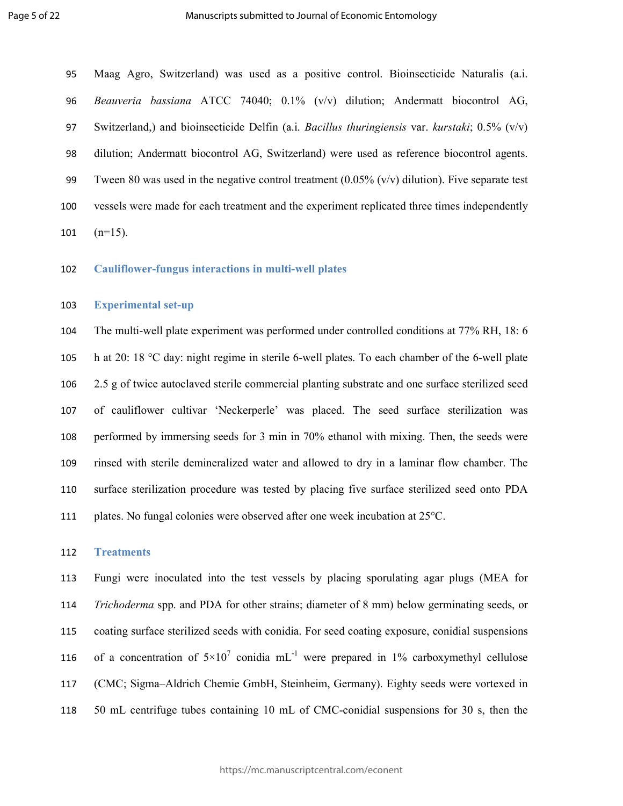Maag Agro, Switzerland) was used as a positive control. Bioinsecticide Naturalis (a.i. *Beauveria bassiana* ATCC 74040; 0.1% (v/v) dilution; Andermatt biocontrol AG, Switzerland,) and bioinsecticide Delfin (a.i. *Bacillus thuringiensis* var. *kurstaki*; 0.5% (v/v) dilution; Andermatt biocontrol AG, Switzerland) were used as reference biocontrol agents. 99 Tween 80 was used in the negative control treatment  $(0.05\%$  (v/v) dilution). Five separate test vessels were made for each treatment and the experiment replicated three times independently 101  $(n=15)$ .

**Cauliflower-fungus interactions in multi-well plates** 

### **Experimental set-up**

The multi-well plate experiment was performed under controlled conditions at 77% RH, 18: 6 h at 20: 18 °C day: night regime in sterile 6-well plates. To each chamber of the 6-well plate 2.5 g of twice autoclaved sterile commercial planting substrate and one surface sterilized seed of cauliflower cultivar 'Neckerperle' was placed. The seed surface sterilization was performed by immersing seeds for 3 min in 70% ethanol with mixing. Then, the seeds were rinsed with sterile demineralized water and allowed to dry in a laminar flow chamber. The surface sterilization procedure was tested by placing five surface sterilized seed onto PDA plates. No fungal colonies were observed after one week incubation at 25°C.

#### **Treatments**

Fungi were inoculated into the test vessels by placing sporulating agar plugs (MEA for *Trichoderma* spp. and PDA for other strains; diameter of 8 mm) below germinating seeds, or coating surface sterilized seeds with conidia. For seed coating exposure, conidial suspensions 116 of a concentration of  $5\times10^7$  conidia mL<sup>-1</sup> were prepared in 1% carboxymethyl cellulose (CMC; Sigma–Aldrich Chemie GmbH, Steinheim, Germany). Eighty seeds were vortexed in 50 mL centrifuge tubes containing 10 mL of CMC-conidial suspensions for 30 s, then the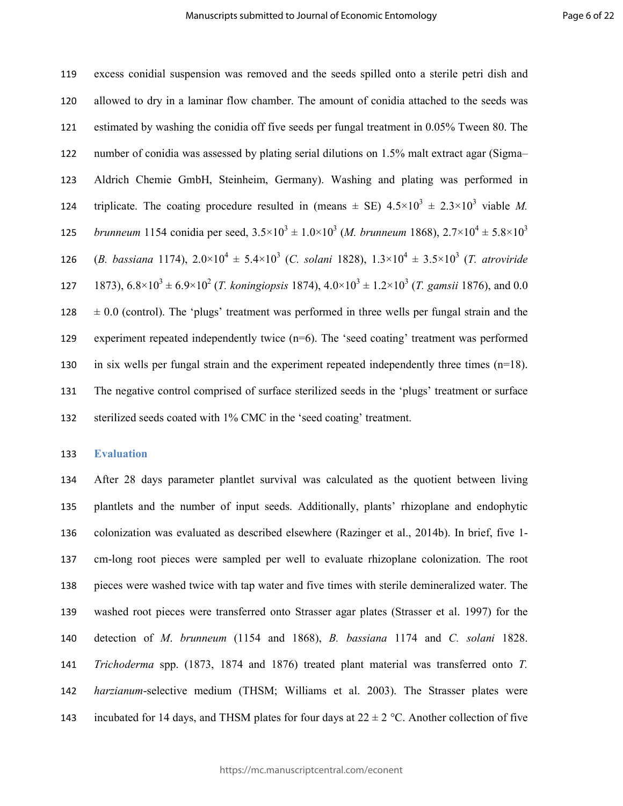excess conidial suspension was removed and the seeds spilled onto a sterile petri dish and allowed to dry in a laminar flow chamber. The amount of conidia attached to the seeds was estimated by washing the conidia off five seeds per fungal treatment in 0.05% Tween 80. The number of conidia was assessed by plating serial dilutions on 1.5% malt extract agar (Sigma– Aldrich Chemie GmbH, Steinheim, Germany). Washing and plating was performed in 124 triplicate. The coating procedure resulted in (means  $\pm$  SE)  $4.5 \times 10^3 \pm 2.3 \times 10^3$  viable *M*. *brunneum* 1154 conidia per seed,  $3.5 \times 10^3 \pm 1.0 \times 10^3$  (*M. brunneum* 1868),  $2.7 \times 10^4 \pm 5.8 \times 10^3$  126 (*B. bassiana* 1174),  $2.0 \times 10^4 \pm 5.4 \times 10^3$  (*C. solani* 1828),  $1.3 \times 10^4 \pm 3.5 \times 10^3$  (*T. atroviride* 127 1873),  $6.8 \times 10^3 \pm 6.9 \times 10^2$  (*T. koningiopsis* 1874),  $4.0 \times 10^3 \pm 1.2 \times 10^3$  (*T. gamsii* 1876), and 0.0  $128 \pm 0.0$  (control). The 'plugs' treatment was performed in three wells per fungal strain and the experiment repeated independently twice (n=6). The 'seed coating' treatment was performed in six wells per fungal strain and the experiment repeated independently three times (n=18). The negative control comprised of surface sterilized seeds in the 'plugs' treatment or surface sterilized seeds coated with 1% CMC in the 'seed coating' treatment.

**Evaluation** 

After 28 days parameter plantlet survival was calculated as the quotient between living plantlets and the number of input seeds. Additionally, plants' rhizoplane and endophytic colonization was evaluated as described elsewhere (Razinger et al., 2014b). In brief, five 1- cm-long root pieces were sampled per well to evaluate rhizoplane colonization. The root pieces were washed twice with tap water and five times with sterile demineralized water. The washed root pieces were transferred onto Strasser agar plates (Strasser et al. 1997) for the detection of *M*. *brunneum* (1154 and 1868), *B. bassiana* 1174 and *C. solani* 1828. *Trichoderma* spp. (1873, 1874 and 1876) treated plant material was transferred onto *T. harzianum*-selective medium (THSM; Williams et al. 2003). The Strasser plates were 143 incubated for 14 days, and THSM plates for four days at  $22 \pm 2$  °C. Another collection of five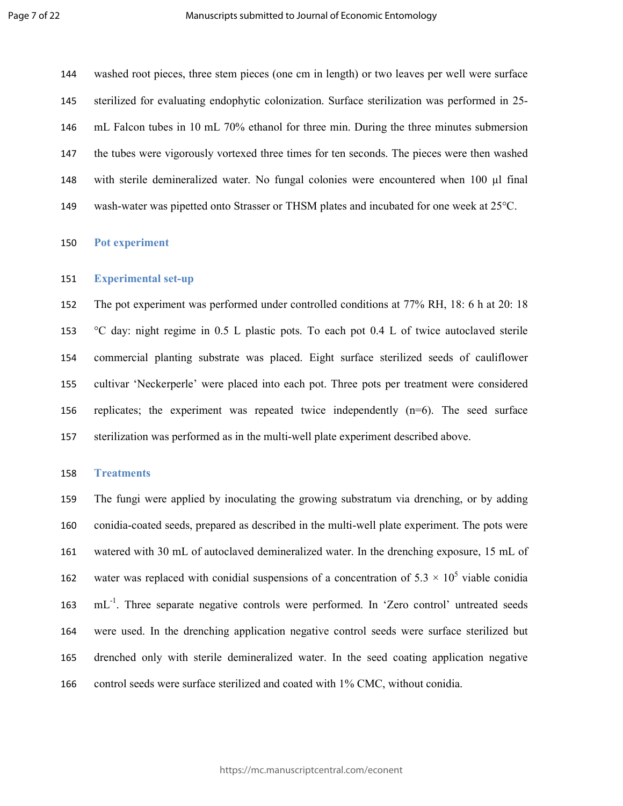washed root pieces, three stem pieces (one cm in length) or two leaves per well were surface sterilized for evaluating endophytic colonization. Surface sterilization was performed in 25- mL Falcon tubes in 10 mL 70% ethanol for three min. During the three minutes submersion the tubes were vigorously vortexed three times for ten seconds. The pieces were then washed with sterile demineralized water. No fungal colonies were encountered when 100 µl final wash-water was pipetted onto Strasser or THSM plates and incubated for one week at 25°C.

## **Pot experiment**

#### **Experimental set-up**

The pot experiment was performed under controlled conditions at 77% RH, 18: 6 h at 20: 18 °C day: night regime in 0.5 L plastic pots. To each pot 0.4 L of twice autoclaved sterile commercial planting substrate was placed. Eight surface sterilized seeds of cauliflower cultivar 'Neckerperle' were placed into each pot. Three pots per treatment were considered replicates; the experiment was repeated twice independently (n=6). The seed surface sterilization was performed as in the multi-well plate experiment described above.

#### **Treatments**

The fungi were applied by inoculating the growing substratum via drenching, or by adding conidia-coated seeds, prepared as described in the multi-well plate experiment. The pots were watered with 30 mL of autoclaved demineralized water. In the drenching exposure, 15 mL of 162 water was replaced with conidial suspensions of a concentration of  $5.3 \times 10^5$  viable conidia mL<sup>-1</sup>. Three separate negative controls were performed. In 'Zero control' untreated seeds were used. In the drenching application negative control seeds were surface sterilized but drenched only with sterile demineralized water. In the seed coating application negative control seeds were surface sterilized and coated with 1% CMC, without conidia.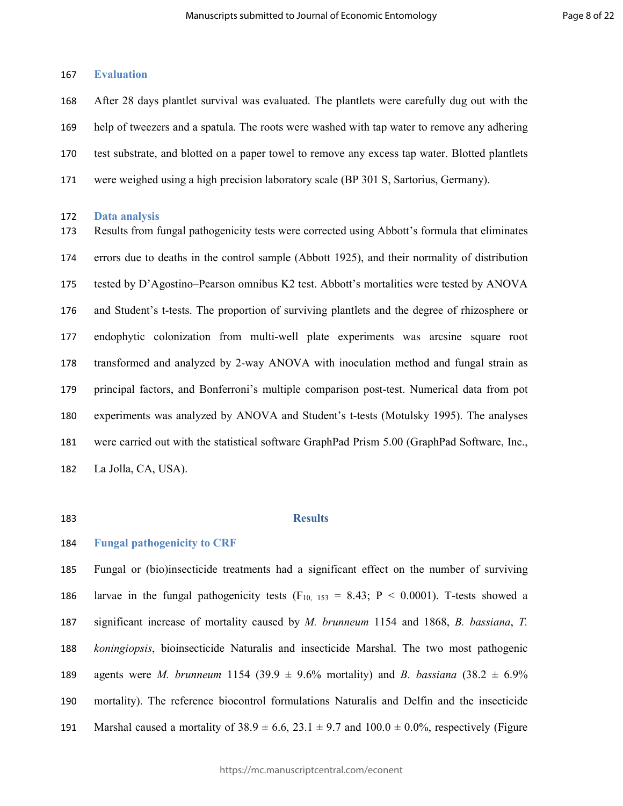## **Evaluation**

After 28 days plantlet survival was evaluated. The plantlets were carefully dug out with the help of tweezers and a spatula. The roots were washed with tap water to remove any adhering test substrate, and blotted on a paper towel to remove any excess tap water. Blotted plantlets were weighed using a high precision laboratory scale (BP 301 S, Sartorius, Germany).

#### **Data analysis**

Results from fungal pathogenicity tests were corrected using Abbott's formula that eliminates errors due to deaths in the control sample (Abbott 1925), and their normality of distribution tested by D'Agostino–Pearson omnibus K2 test. Abbott's mortalities were tested by ANOVA and Student's t-tests. The proportion of surviving plantlets and the degree of rhizosphere or endophytic colonization from multi-well plate experiments was arcsine square root transformed and analyzed by 2-way ANOVA with inoculation method and fungal strain as principal factors, and Bonferroni's multiple comparison post-test. Numerical data from pot experiments was analyzed by ANOVA and Student's t-tests (Motulsky 1995). The analyses were carried out with the statistical software GraphPad Prism 5.00 (GraphPad Software, Inc., La Jolla, CA, USA).

# **Results**

# **Fungal pathogenicity to CRF**

Fungal or (bio)insecticide treatments had a significant effect on the number of surviving 186 larvae in the fungal pathogenicity tests (F<sub>10, 153</sub> = 8.43; P < 0.0001). T-tests showed a significant increase of mortality caused by *M. brunneum* 1154 and 1868, *B. bassiana*, *T. koningiopsis*, bioinsecticide Naturalis and insecticide Marshal. The two most pathogenic 189 agents were *M. brunneum* 1154 (39.9  $\pm$  9.6% mortality) and *B. bassiana* (38.2  $\pm$  6.9% mortality). The reference biocontrol formulations Naturalis and Delfin and the insecticide 191 Marshal caused a mortality of  $38.9 \pm 6.6$ ,  $23.1 \pm 9.7$  and  $100.0 \pm 0.0$ %, respectively (Figure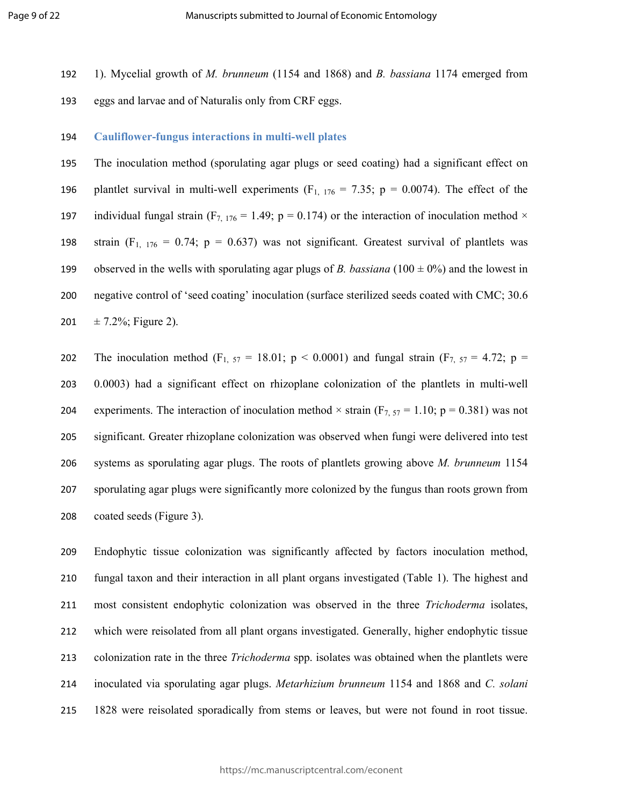- 1). Mycelial growth of *M. brunneum* (1154 and 1868) and *B. bassiana* 1174 emerged from
- eggs and larvae and of Naturalis only from CRF eggs.

## **Cauliflower-fungus interactions in multi-well plates**

The inoculation method (sporulating agar plugs or seed coating) had a significant effect on 196 plantlet survival in multi-well experiments  $(F_{1, 176} = 7.35; p = 0.0074)$ . The effect of the 197 individual fungal strain (F<sub>7, 176</sub> = 1.49; p = 0.174) or the interaction of inoculation method  $\times$ 198 strain  $(F_{1, 176} = 0.74; p = 0.637)$  was not significant. Greatest survival of plantlets was 199 observed in the wells with sporulating agar plugs of *B. bassiana* ( $100 \pm 0\%$ ) and the lowest in negative control of 'seed coating' inoculation (surface sterilized seeds coated with CMC; 30.6 201  $\pm$  7.2%; Figure 2).

202 The inoculation method (F<sub>1, 57</sub> = 18.01; p < 0.0001) and fungal strain (F<sub>7, 57</sub> = 4.72; p = 0.0003) had a significant effect on rhizoplane colonization of the plantlets in multi-well 204 experiments. The interaction of inoculation method  $\times$  strain (F<sub>7, 57</sub> = 1.10; p = 0.381) was not significant. Greater rhizoplane colonization was observed when fungi were delivered into test systems as sporulating agar plugs. The roots of plantlets growing above *M. brunneum* 1154 sporulating agar plugs were significantly more colonized by the fungus than roots grown from coated seeds (Figure 3).

Endophytic tissue colonization was significantly affected by factors inoculation method, fungal taxon and their interaction in all plant organs investigated (Table 1). The highest and most consistent endophytic colonization was observed in the three *Trichoderma* isolates, which were reisolated from all plant organs investigated. Generally, higher endophytic tissue colonization rate in the three *Trichoderma* spp. isolates was obtained when the plantlets were inoculated via sporulating agar plugs. *Metarhizium brunneum* 1154 and 1868 and *C. solani* 1828 were reisolated sporadically from stems or leaves, but were not found in root tissue.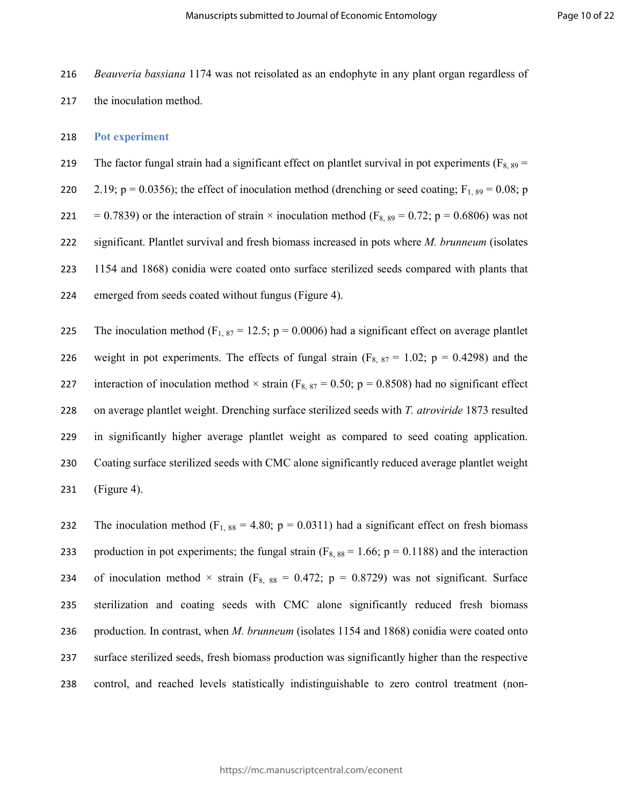216 *Beauveria bassiana* 1174 was not reisolated as an endophyte in any plant organ regardless of

217 the inoculation method.

### 218 **Pot experiment**

219 The factor fungal strain had a significant effect on plantlet survival in pot experiments ( $F_{8, 89}$  = 220 2.19;  $p = 0.0356$ ); the effect of inoculation method (drenching or seed coating;  $F_{1, 89} = 0.08$ ; p

221 = 0.7839) or the interaction of strain  $\times$  inoculation method (F<sub>8, 89</sub> = 0.72; p = 0.6806) was not significant. Plantlet survival and fresh biomass increased in pots where *M. brunneum* (isolates 1154 and 1868) conidia were coated onto surface sterilized seeds compared with plants that emerged from seeds coated without fungus (Figure 4).

225 The inoculation method (F<sub>1, 87</sub> = 12.5; p = 0.0006) had a significant effect on average plantlet 226 weight in pot experiments. The effects of fungal strain ( $F_{8, 87} = 1.02$ ; p = 0.4298) and the 227 interaction of inoculation method  $\times$  strain (F<sub>8, 87</sub> = 0.50; p = 0.8508) had no significant effect 228 on average plantlet weight. Drenching surface sterilized seeds with *T. atroviride* 1873 resulted 229 in significantly higher average plantlet weight as compared to seed coating application. 230 Coating surface sterilized seeds with CMC alone significantly reduced average plantlet weight 231 (Figure 4).

232 The inoculation method (F<sub>1, 88</sub> = 4.80; p = 0.0311) had a significant effect on fresh biomass 233 production in pot experiments; the fungal strain ( $F_{8, 88} = 1.66$ ; p = 0.1188) and the interaction 234 of inoculation method  $\times$  strain (F<sub>8, 88</sub> = 0.472; p = 0.8729) was not significant. Surface 235 sterilization and coating seeds with CMC alone significantly reduced fresh biomass 236 production. In contrast, when *M. brunneum* (isolates 1154 and 1868) conidia were coated onto 237 surface sterilized seeds, fresh biomass production was significantly higher than the respective 238 control, and reached levels statistically indistinguishable to zero control treatment (non-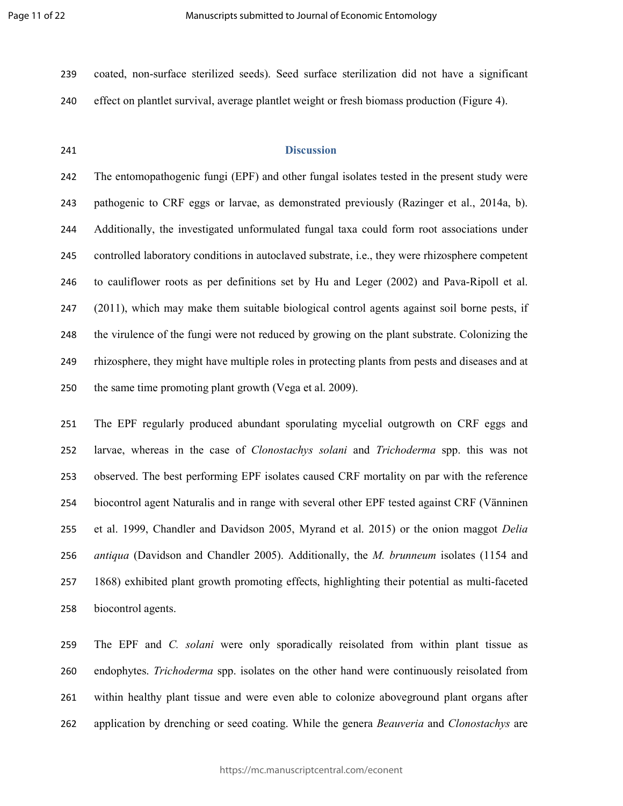- coated, non-surface sterilized seeds). Seed surface sterilization did not have a significant effect on plantlet survival, average plantlet weight or fresh biomass production (Figure 4).
- 

# **Discussion**

The entomopathogenic fungi (EPF) and other fungal isolates tested in the present study were pathogenic to CRF eggs or larvae, as demonstrated previously (Razinger et al., 2014a, b). Additionally, the investigated unformulated fungal taxa could form root associations under controlled laboratory conditions in autoclaved substrate, i.e., they were rhizosphere competent to cauliflower roots as per definitions set by Hu and Leger (2002) and Pava-Ripoll et al. (2011), which may make them suitable biological control agents against soil borne pests, if the virulence of the fungi were not reduced by growing on the plant substrate. Colonizing the rhizosphere, they might have multiple roles in protecting plants from pests and diseases and at the same time promoting plant growth (Vega et al. 2009).

The EPF regularly produced abundant sporulating mycelial outgrowth on CRF eggs and larvae, whereas in the case of *Clonostachys solani* and *Trichoderma* spp. this was not observed. The best performing EPF isolates caused CRF mortality on par with the reference biocontrol agent Naturalis and in range with several other EPF tested against CRF (Vänninen et al. 1999, Chandler and Davidson 2005, Myrand et al. 2015) or the onion maggot *Delia antiqua* (Davidson and Chandler 2005). Additionally, the *M. brunneum* isolates (1154 and 1868) exhibited plant growth promoting effects, highlighting their potential as multi-faceted biocontrol agents.

The EPF and *C. solani* were only sporadically reisolated from within plant tissue as endophytes. *Trichoderma* spp. isolates on the other hand were continuously reisolated from within healthy plant tissue and were even able to colonize aboveground plant organs after application by drenching or seed coating. While the genera *Beauveria* and *Clonostachys* are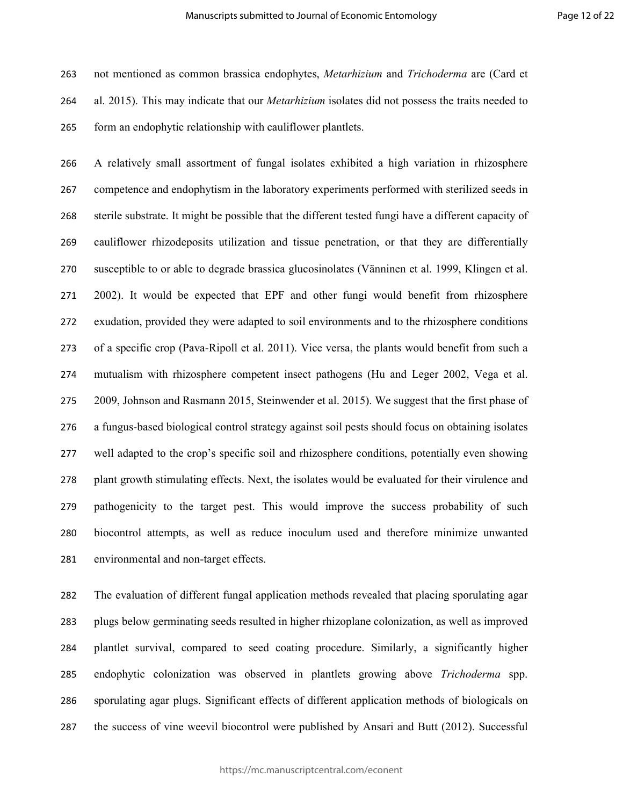not mentioned as common brassica endophytes, *Metarhizium* and *Trichoderma* are (Card et al. 2015). This may indicate that our *Metarhizium* isolates did not possess the traits needed to form an endophytic relationship with cauliflower plantlets.

A relatively small assortment of fungal isolates exhibited a high variation in rhizosphere competence and endophytism in the laboratory experiments performed with sterilized seeds in sterile substrate. It might be possible that the different tested fungi have a different capacity of cauliflower rhizodeposits utilization and tissue penetration, or that they are differentially susceptible to or able to degrade brassica glucosinolates (Vänninen et al. 1999, Klingen et al. 2002). It would be expected that EPF and other fungi would benefit from rhizosphere exudation, provided they were adapted to soil environments and to the rhizosphere conditions of a specific crop (Pava-Ripoll et al. 2011). Vice versa, the plants would benefit from such a mutualism with rhizosphere competent insect pathogens (Hu and Leger 2002, Vega et al. 2009, Johnson and Rasmann 2015, Steinwender et al. 2015). We suggest that the first phase of a fungus-based biological control strategy against soil pests should focus on obtaining isolates well adapted to the crop's specific soil and rhizosphere conditions, potentially even showing plant growth stimulating effects. Next, the isolates would be evaluated for their virulence and pathogenicity to the target pest. This would improve the success probability of such biocontrol attempts, as well as reduce inoculum used and therefore minimize unwanted environmental and non-target effects.

The evaluation of different fungal application methods revealed that placing sporulating agar plugs below germinating seeds resulted in higher rhizoplane colonization, as well as improved plantlet survival, compared to seed coating procedure. Similarly, a significantly higher endophytic colonization was observed in plantlets growing above *Trichoderma* spp. sporulating agar plugs. Significant effects of different application methods of biologicals on the success of vine weevil biocontrol were published by Ansari and Butt (2012). Successful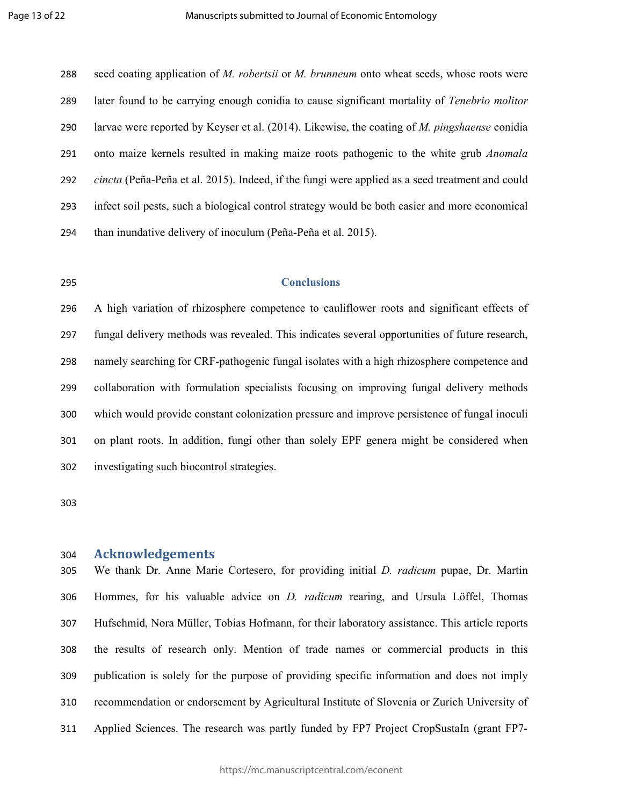seed coating application of *M. robertsii* or *M. brunneum* onto wheat seeds, whose roots were later found to be carrying enough conidia to cause significant mortality of *Tenebrio molitor* larvae were reported by Keyser et al. (2014). Likewise, the coating of *M. pingshaense* conidia onto maize kernels resulted in making maize roots pathogenic to the white grub *Anomala cincta* (Peña-Peña et al. 2015). Indeed, if the fungi were applied as a seed treatment and could infect soil pests, such a biological control strategy would be both easier and more economical than inundative delivery of inoculum (Peña-Peña et al. 2015).

# **Conclusions**

A high variation of rhizosphere competence to cauliflower roots and significant effects of fungal delivery methods was revealed. This indicates several opportunities of future research, namely searching for CRF-pathogenic fungal isolates with a high rhizosphere competence and collaboration with formulation specialists focusing on improving fungal delivery methods which would provide constant colonization pressure and improve persistence of fungal inoculi on plant roots. In addition, fungi other than solely EPF genera might be considered when investigating such biocontrol strategies.

# **Acknowledgements**

We thank Dr. Anne Marie Cortesero, for providing initial *D. radicum* pupae, Dr. Martin Hommes, for his valuable advice on *D. radicum* rearing, and Ursula Löffel, Thomas Hufschmid, Nora Müller, Tobias Hofmann, for their laboratory assistance. This article reports the results of research only. Mention of trade names or commercial products in this publication is solely for the purpose of providing specific information and does not imply recommendation or endorsement by Agricultural Institute of Slovenia or Zurich University of Applied Sciences. The research was partly funded by FP7 Project CropSustaIn (grant FP7-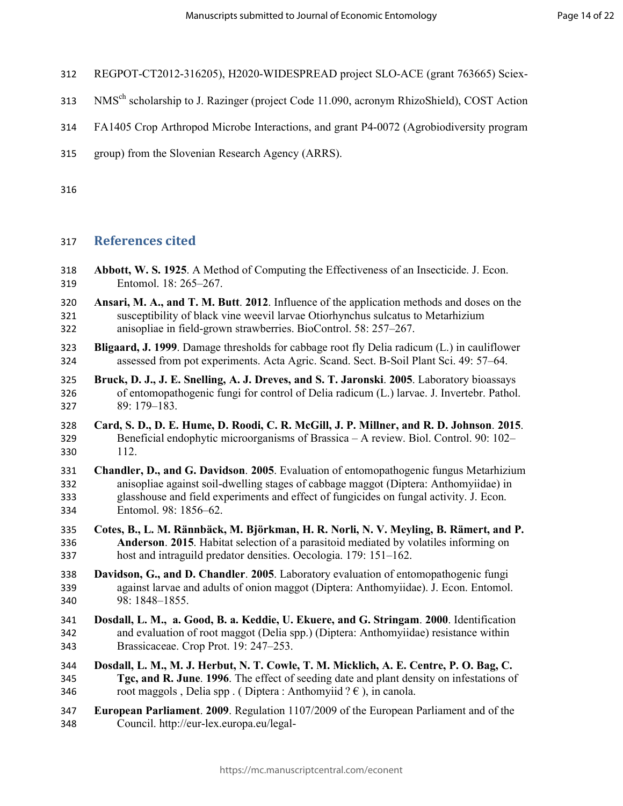- REGPOT-CT2012-316205), H2020-WIDESPREAD project SLO-ACE (grant 763665) Sciex-
- 313 NMS<sup>ch</sup> scholarship to J. Razinger (project Code 11.090, acronym RhizoShield), COST Action
- FA1405 Crop Arthropod Microbe Interactions, and grant P4-0072 (Agrobiodiversity program
- group) from the Slovenian Research Agency (ARRS).

# **References cited**

- **Abbott, W. S. 1925**. A Method of Computing the Effectiveness of an Insecticide. J. Econ. Entomol. 18: 265–267.
- **Ansari, M. A., and T. M. Butt**. **2012**. Influence of the application methods and doses on the susceptibility of black vine weevil larvae Otiorhynchus sulcatus to Metarhizium anisopliae in field-grown strawberries. BioControl. 58: 257–267.
- **Bligaard, J. 1999**. Damage thresholds for cabbage root fly Delia radicum (L.) in cauliflower assessed from pot experiments. Acta Agric. Scand. Sect. B-Soil Plant Sci. 49: 57–64.
- **Bruck, D. J., J. E. Snelling, A. J. Dreves, and S. T. Jaronski**. **2005**. Laboratory bioassays of entomopathogenic fungi for control of Delia radicum (L.) larvae. J. Invertebr. Pathol. 89: 179–183.
- **Card, S. D., D. E. Hume, D. Roodi, C. R. McGill, J. P. Millner, and R. D. Johnson**. **2015**. Beneficial endophytic microorganisms of Brassica – A review. Biol. Control. 90: 102– 112.
- **Chandler, D., and G. Davidson**. **2005**. Evaluation of entomopathogenic fungus Metarhizium anisopliae against soil-dwelling stages of cabbage maggot (Diptera: Anthomyiidae) in glasshouse and field experiments and effect of fungicides on fungal activity. J. Econ. Entomol. 98: 1856–62.
- **Cotes, B., L. M. Rännbäck, M. Björkman, H. R. Norli, N. V. Meyling, B. Rämert, and P. Anderson**. **2015**. Habitat selection of a parasitoid mediated by volatiles informing on host and intraguild predator densities. Oecologia. 179: 151–162.
- **Davidson, G., and D. Chandler**. **2005**. Laboratory evaluation of entomopathogenic fungi against larvae and adults of onion maggot (Diptera: Anthomyiidae). J. Econ. Entomol. 98: 1848–1855.
- **Dosdall, L. M., a. Good, B. a. Keddie, U. Ekuere, and G. Stringam**. **2000**. Identification and evaluation of root maggot (Delia spp.) (Diptera: Anthomyiidae) resistance within Brassicaceae. Crop Prot. 19: 247–253.
- **Dosdall, L. M., M. J. Herbut, N. T. Cowle, T. M. Micklich, A. E. Centre, P. O. Bag, C. Tgc, and R. June**. **1996**. The effect of seeding date and plant density on infestations of 346 root maggols , Delia spp . ( Diptera : Anthomyiid  $? \epsilon$  ), in canola.
- **European Parliament**. **2009**. Regulation 1107/2009 of the European Parliament and of the Council. http://eur-lex.europa.eu/legal-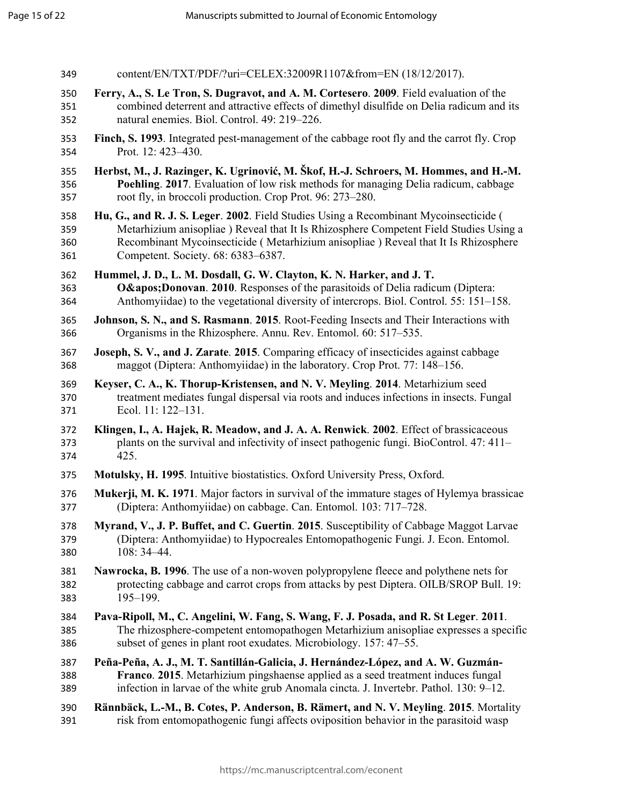| 349 | content/EN/TXT/PDF/?uri=CELEX:32009R1107&from=EN (18/12/2017).                              |
|-----|---------------------------------------------------------------------------------------------|
| 350 | Ferry, A., S. Le Tron, S. Dugravot, and A. M. Cortesero. 2009. Field evaluation of the      |
| 351 | combined deterrent and attractive effects of dimethyl disulfide on Delia radicum and its    |
| 352 | natural enemies. Biol. Control. 49: 219-226.                                                |
| 353 | Finch, S. 1993. Integrated pest-management of the cabbage root fly and the carrot fly. Crop |
| 354 | Prot. 12: 423-430.                                                                          |
| 355 | Herbst, M., J. Razinger, K. Ugrinović, M. Škof, H.-J. Schroers, M. Hommes, and H.-M.        |
| 356 | Poehling. 2017. Evaluation of low risk methods for managing Delia radicum, cabbage          |
| 357 | root fly, in broccoli production. Crop Prot. 96: 273–280.                                   |
| 358 | Hu, G., and R. J. S. Leger. 2002. Field Studies Using a Recombinant Mycoinsecticide (       |
| 359 | Metarhizium anisopliae ) Reveal that It Is Rhizosphere Competent Field Studies Using a      |
| 360 | Recombinant Mycoinsecticide (Metarhizium anisopliae) Reveal that It Is Rhizosphere          |
| 361 | Competent. Society. 68: 6383-6387.                                                          |
| 362 | Hummel, J. D., L. M. Dosdall, G. W. Clayton, K. N. Harker, and J. T.                        |
| 363 | O' Donovan. 2010. Responses of the parasitoids of Delia radicum (Diptera:                   |
| 364 | Anthomyiidae) to the vegetational diversity of intercrops. Biol. Control. 55: 151-158.      |
| 365 | Johnson, S. N., and S. Rasmann. 2015. Root-Feeding Insects and Their Interactions with      |
| 366 | Organisms in the Rhizosphere. Annu. Rev. Entomol. 60: 517–535.                              |
| 367 | Joseph, S. V., and J. Zarate. 2015. Comparing efficacy of insecticides against cabbage      |
| 368 | maggot (Diptera: Anthomyiidae) in the laboratory. Crop Prot. 77: 148-156.                   |
| 369 | Keyser, C. A., K. Thorup-Kristensen, and N. V. Meyling. 2014. Metarhizium seed              |
| 370 | treatment mediates fungal dispersal via roots and induces infections in insects. Fungal     |
| 371 | Ecol. 11: 122-131.                                                                          |
| 372 | Klingen, I., A. Hajek, R. Meadow, and J. A. A. Renwick. 2002. Effect of brassicaceous       |
| 373 | plants on the survival and infectivity of insect pathogenic fungi. BioControl. 47: 411-     |
| 374 | 425.                                                                                        |
| 375 | Motulsky, H. 1995. Intuitive biostatistics. Oxford University Press, Oxford.                |
| 376 | Mukerji, M. K. 1971. Major factors in survival of the immature stages of Hylemya brassicae  |
| 377 | (Diptera: Anthomyiidae) on cabbage. Can. Entomol. 103: 717–728.                             |
| 378 | Myrand, V., J. P. Buffet, and C. Guertin. 2015. Susceptibility of Cabbage Maggot Larvae     |
| 379 | (Diptera: Anthomyiidae) to Hypocreales Entomopathogenic Fungi. J. Econ. Entomol.            |
| 380 | $108:34-44.$                                                                                |
| 381 | Nawrocka, B. 1996. The use of a non-woven polypropylene fleece and polythene nets for       |
| 382 | protecting cabbage and carrot crops from attacks by pest Diptera. OILB/SROP Bull. 19:       |
| 383 | $195 - 199.$                                                                                |
| 384 | Pava-Ripoll, M., C. Angelini, W. Fang, S. Wang, F. J. Posada, and R. St Leger. 2011.        |
| 385 | The rhizosphere-competent entomopathogen Metarhizium anisopliae expresses a specific        |
| 386 | subset of genes in plant root exudates. Microbiology. 157: 47–55.                           |
| 387 | Peña-Peña, A. J., M. T. Santillán-Galicia, J. Hernández-López, and A. W. Guzmán-            |
| 388 | Franco. 2015. Metarhizium pingshaense applied as a seed treatment induces fungal            |
| 389 | infection in larvae of the white grub Anomala cincta. J. Invertebr. Pathol. 130: 9–12.      |
| 390 | Rännbäck, L.-M., B. Cotes, P. Anderson, B. Rämert, and N. V. Meyling. 2015. Mortality       |
| 391 | risk from entomopathogenic fungi affects oviposition behavior in the parasitoid wasp        |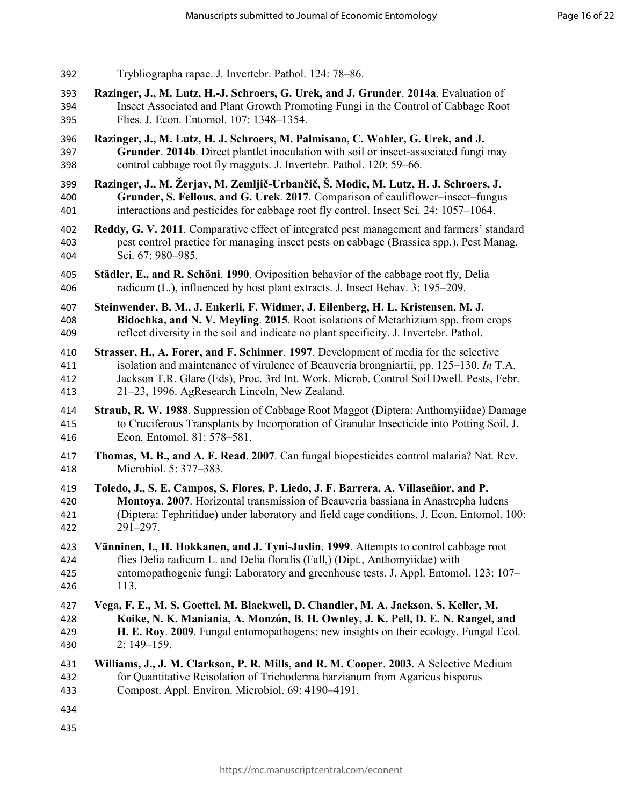| 392 | Trybliographa rapae. J. Invertebr. Pathol. 124: 78–86.                                    |
|-----|-------------------------------------------------------------------------------------------|
| 393 | Razinger, J., M. Lutz, H.-J. Schroers, G. Urek, and J. Grunder. 2014a. Evaluation of      |
| 394 | Insect Associated and Plant Growth Promoting Fungi in the Control of Cabbage Root         |
| 395 | Flies. J. Econ. Entomol. 107: 1348–1354.                                                  |
| 396 | Razinger, J., M. Lutz, H. J. Schroers, M. Palmisano, C. Wohler, G. Urek, and J.           |
| 397 | Grunder. 2014b. Direct plantlet inoculation with soil or insect-associated fungi may      |
| 398 | control cabbage root fly maggots. J. Invertebr. Pathol. 120: 59–66.                       |
| 399 | Razinger, J., M. Žerjav, M. Zemljič-Urbančič, Š. Modic, M. Lutz, H. J. Schroers, J.       |
| 400 | Grunder, S. Fellous, and G. Urek. 2017. Comparison of cauliflower-insect-fungus           |
| 401 | interactions and pesticides for cabbage root fly control. Insect Sci. 24: 1057-1064.      |
| 402 | Reddy, G. V. 2011. Comparative effect of integrated pest management and farmers' standard |
| 403 | pest control practice for managing insect pests on cabbage (Brassica spp.). Pest Manag.   |
| 404 | Sci. 67: 980-985.                                                                         |
| 405 | Städler, E., and R. Schöni. 1990. Oviposition behavior of the cabbage root fly, Delia     |
| 406 | radicum (L.), influenced by host plant extracts. J. Insect Behav. 3: 195–209.             |
| 407 | Steinwender, B. M., J. Enkerli, F. Widmer, J. Eilenberg, H. L. Kristensen, M. J.          |
| 408 | Bidochka, and N. V. Meyling. 2015. Root isolations of Metarhizium spp. from crops         |
| 409 | reflect diversity in the soil and indicate no plant specificity. J. Invertebr. Pathol.    |
| 410 | Strasser, H., A. Forer, and F. Schinner. 1997. Development of media for the selective     |
| 411 | isolation and maintenance of virulence of Beauveria brongniartii, pp. 125–130. In T.A.    |
| 412 | Jackson T.R. Glare (Eds), Proc. 3rd Int. Work. Microb. Control Soil Dwell. Pests, Febr.   |
| 413 | 21–23, 1996. AgResearch Lincoln, New Zealand.                                             |
| 414 | Straub, R. W. 1988. Suppression of Cabbage Root Maggot (Diptera: Anthomyiidae) Damage     |
| 415 | to Cruciferous Transplants by Incorporation of Granular Insecticide into Potting Soil. J. |
| 416 | Econ. Entomol. 81: 578-581.                                                               |
| 417 | Thomas, M. B., and A. F. Read. 2007. Can fungal biopesticides control malaria? Nat. Rev.  |
| 418 | Microbiol. 5: 377-383.                                                                    |
| 419 | Toledo, J., S. E. Campos, S. Flores, P. Liedo, J. F. Barrera, A. Villaseñior, and P.      |
| 420 | Montoya. 2007. Horizontal transmission of Beauveria bassiana in Anastrepha ludens         |
| 421 | (Diptera: Tephritidae) under laboratory and field cage conditions. J. Econ. Entomol. 100: |
| 422 | 291–297.                                                                                  |
| 423 | Vänninen, I., H. Hokkanen, and J. Tyni-Juslin. 1999. Attempts to control cabbage root     |
| 424 | flies Delia radicum L. and Delia floralis (Fall,) (Dipt., Anthomyiidae) with              |
| 425 | entomopathogenic fungi: Laboratory and greenhouse tests. J. Appl. Entomol. 123: 107-      |
| 426 | 113.                                                                                      |
| 427 | Vega, F. E., M. S. Goettel, M. Blackwell, D. Chandler, M. A. Jackson, S. Keller, M.       |
| 428 | Koike, N. K. Maniania, A. Monzón, B. H. Ownley, J. K. Pell, D. E. N. Rangel, and          |
| 429 | H. E. Roy. 2009. Fungal entomopathogens: new insights on their ecology. Fungal Ecol.      |
| 430 | $2:149-159.$                                                                              |
| 431 | Williams, J., J. M. Clarkson, P. R. Mills, and R. M. Cooper. 2003. A Selective Medium     |
| 432 | for Quantitative Reisolation of Trichoderma harzianum from Agaricus bisporus              |
| 433 | Compost. Appl. Environ. Microbiol. 69: 4190-4191.                                         |
| 434 |                                                                                           |
| 435 |                                                                                           |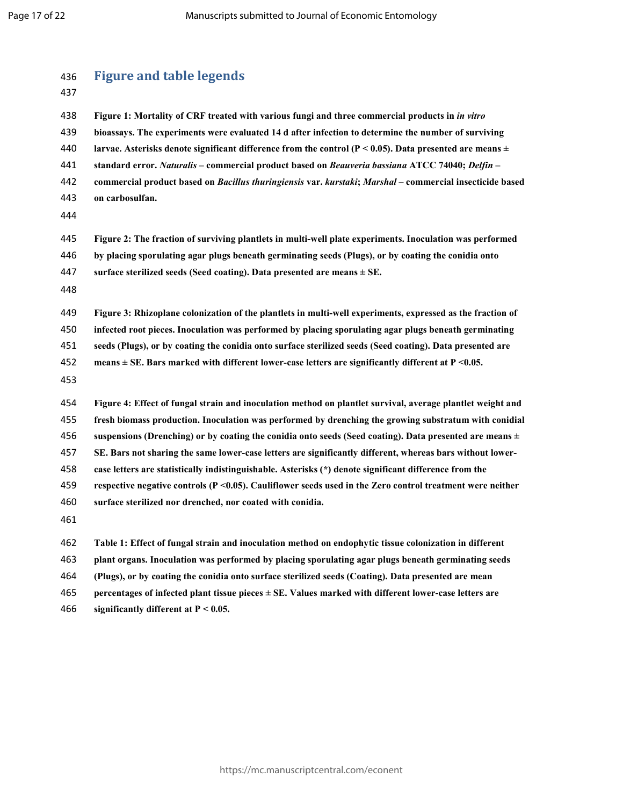| 436<br>437 | <b>Figure and table legends</b>                                                                                 |
|------------|-----------------------------------------------------------------------------------------------------------------|
| 438        | Figure 1: Mortality of CRF treated with various fungi and three commercial products in in vitro                 |
| 439        | bioassays. The experiments were evaluated 14 d after infection to determine the number of surviving             |
| 440        | larvae. Asterisks denote significant difference from the control ( $P < 0.05$ ). Data presented are means $\pm$ |
| 441        | standard error. Naturalis - commercial product based on Beauveria bassiana ATCC 74040; Delfin -                 |
| 442        | commercial product based on Bacillus thuringiensis var. kurstaki; Marshal - commercial insecticide based        |
| 443        | on carbosulfan.                                                                                                 |
| 444        |                                                                                                                 |
| 445        | Figure 2: The fraction of surviving plantlets in multi-well plate experiments. Inoculation was performed        |
| 446        | by placing sporulating agar plugs beneath germinating seeds (Plugs), or by coating the conidia onto             |
| 447        | surface sterilized seeds (Seed coating). Data presented are means $\pm$ SE.                                     |
| 448        |                                                                                                                 |
| 449        | Figure 3: Rhizoplane colonization of the plantlets in multi-well experiments, expressed as the fraction of      |
| 450        | infected root pieces. Inoculation was performed by placing sporulating agar plugs beneath germinating           |
| 451        | seeds (Plugs), or by coating the conidia onto surface sterilized seeds (Seed coating). Data presented are       |
| 452        | means $\pm$ SE. Bars marked with different lower-case letters are significantly different at P <0.05.           |
| 453        |                                                                                                                 |
| 454        | Figure 4: Effect of fungal strain and inoculation method on plantlet survival, average plantlet weight and      |
| 455        | fresh biomass production. Inoculation was performed by drenching the growing substratum with conidial           |
| 456        | suspensions (Drenching) or by coating the conidia onto seeds (Seed coating). Data presented are means $\pm$     |
| 457        | SE. Bars not sharing the same lower-case letters are significantly different, whereas bars without lower-       |
| 458        | case letters are statistically indistinguishable. Asterisks (*) denote significant difference from the          |
| 459        | respective negative controls (P < 0.05). Cauliflower seeds used in the Zero control treatment were neither      |
| 460        | surface sterilized nor drenched, nor coated with conidia.                                                       |
| 461        |                                                                                                                 |
| 462        | Table 1: Effect of fungal strain and inoculation method on endophytic tissue colonization in different          |
| 463        | plant organs. Inoculation was performed by placing sporulating agar plugs beneath germinating seeds             |
| 464        | (Plugs), or by coating the conidia onto surface sterilized seeds (Coating). Data presented are mean             |
| 465        | percentages of infected plant tissue pieces $\pm$ SE. Values marked with different lower-case letters are       |
|            |                                                                                                                 |

**significantly different at P < 0.05.**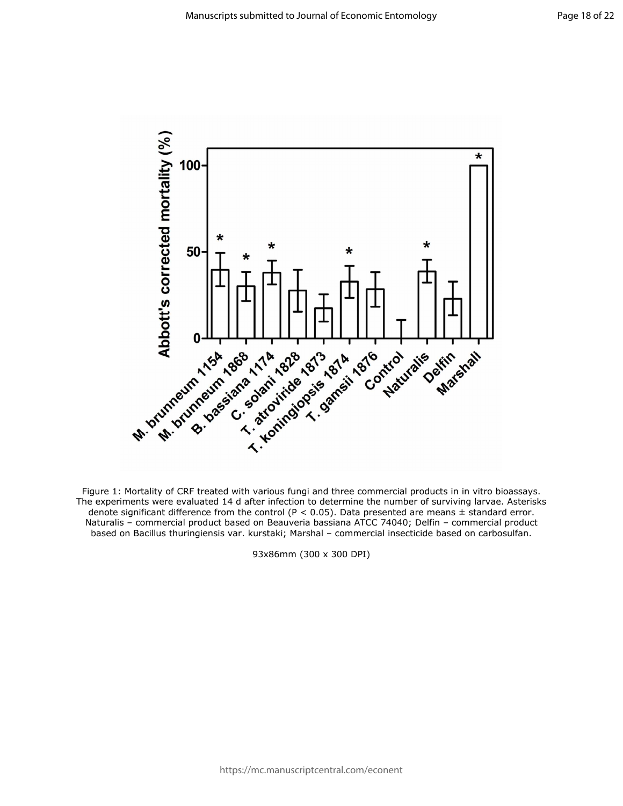

Figure 1: Mortality of CRF treated with various fungi and three commercial products in in vitro bioassays. The experiments were evaluated 14 d after infection to determine the number of surviving larvae. Asterisks denote significant difference from the control ( $P < 0.05$ ). Data presented are means  $\pm$  standard error. Naturalis – commercial product based on Beauveria bassiana ATCC 74040; Delfin – commercial product based on Bacillus thuringiensis var. kurstaki; Marshal – commercial insecticide based on carbosulfan.

93x86mm (300 x 300 DPI)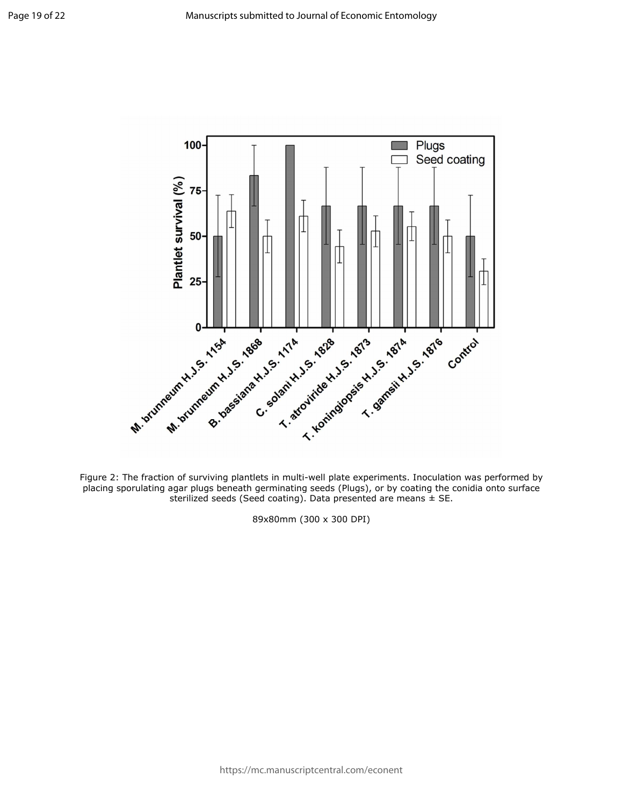

Figure 2: The fraction of surviving plantlets in multi-well plate experiments. Inoculation was performed by placing sporulating agar plugs beneath germinating seeds (Plugs), or by coating the conidia onto surface sterilized seeds (Seed coating). Data presented are means  $\pm$  SE.

89x80mm (300 x 300 DPI)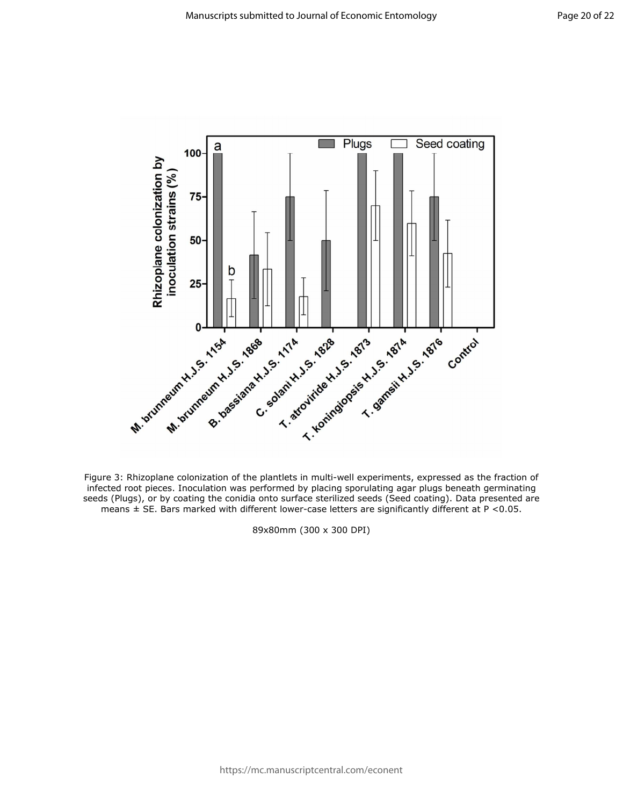

Figure 3: Rhizoplane colonization of the plantlets in multi-well experiments, expressed as the fraction of infected root pieces. Inoculation was performed by placing sporulating agar plugs beneath germinating seeds (Plugs), or by coating the conidia onto surface sterilized seeds (Seed coating). Data presented are means  $\pm$  SE. Bars marked with different lower-case letters are significantly different at P <0.05.

89x80mm (300 x 300 DPI)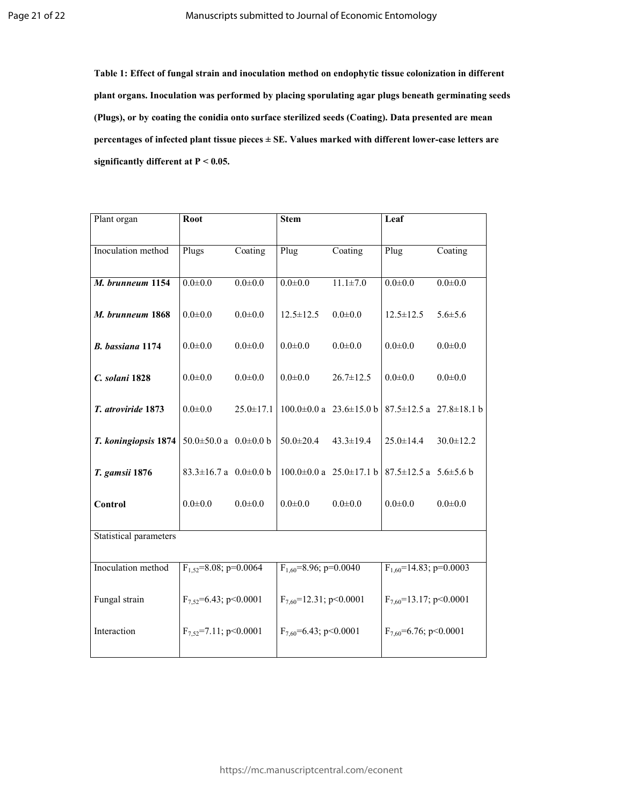**Table 1: Effect of fungal strain and inoculation method on endophytic tissue colonization in different plant organs. Inoculation was performed by placing sporulating agar plugs beneath germinating seeds (Plugs), or by coating the conidia onto surface sterilized seeds (Coating). Data presented are mean percentages of infected plant tissue pieces ± SE. Values marked with different lower-case letters are significantly different at P < 0.05.** 

| Plant organ                   | <b>Root</b>                       |                 | <b>Stem</b>                  |                                     | Leaf                              |                                     |  |  |  |
|-------------------------------|-----------------------------------|-----------------|------------------------------|-------------------------------------|-----------------------------------|-------------------------------------|--|--|--|
| Inoculation method            | Plugs                             | Coating         | Plug                         | Coating                             | Plug                              | Coating                             |  |  |  |
| M. brunneum 1154              | $0.0 + 0.0$                       | $0.0 + 0.0$     | $0.0 + 0.0$                  | $11.1 \pm 7.0$                      | $0.0 + 0.0$                       | $0.0 + 0.0$                         |  |  |  |
| M. brunneum 1868              | $0.0 + 0.0$                       | $0.0 + 0.0$     | $12.5 \pm 12.5$              | $0.0 + 0.0$                         | $12.5 \pm 12.5$                   | $5.6 \pm 5.6$                       |  |  |  |
| B. bassiana 1174              | $0.0 + 0.0$                       | $0.0 + 0.0$     | $0.0 + 0.0$                  | $0.0 + 0.0$                         | $0.0 + 0.0$                       | $0.0 + 0.0$                         |  |  |  |
| C. solani 1828                | $0.0 + 0.0$                       | $0.0 + 0.0$     | $0.0 + 0.0$                  | $26.7 \pm 12.5$                     | $0.0 \pm 0.0$                     | $0.0 + 0.0$                         |  |  |  |
| T. atroviride 1873            | $0.0 + 0.0$                       | $25.0 \pm 17.1$ |                              | $100.0 \pm 0.0$ a $23.6 \pm 15.0$ b |                                   | $87.5 \pm 12.5$ a $27.8 \pm 18.1$ b |  |  |  |
| T. koningiopsis 1874          | 50.0 $\pm$ 50.0 a 0.0 $\pm$ 0.0 b |                 | $50.0 \pm 20.4$              | $43.3 \pm 19.4$                     | $25.0 \pm 14.4$                   | $30.0 \pm 12.2$                     |  |  |  |
| T. gamsii 1876                | $83.3 \pm 16.7$ a 0.0 $\pm$ 0.0 b |                 |                              | $100.0 \pm 0.0$ a $25.0 \pm 17.1$ b | $87.5 \pm 12.5$ a 5.6 $\pm$ 5.6 b |                                     |  |  |  |
| Control                       | $0.0 + 0.0$                       | $0.0 + 0.0$     | $0.0 + 0.0$                  | $0.0 + 0.0$                         | $0.0 \pm 0.0$                     | $0.0 + 0.0$                         |  |  |  |
| <b>Statistical parameters</b> |                                   |                 |                              |                                     |                                   |                                     |  |  |  |
| Inoculation method            | $F_{1,52} = 8.08$ ; p=0.0064      |                 | $F_{1.60} = 8.96$ ; p=0.0040 |                                     | $F_{1,60}$ =14.83; p=0.0003       |                                     |  |  |  |
| Fungal strain                 | $F_{7.52} = 6.43$ ; p<0.0001      |                 | $F_{7.60}$ =12.31; p<0.0001  |                                     | $F_{7.60}$ =13.17; p<0.0001       |                                     |  |  |  |
| Interaction                   | $F_{7,52}$ =7.11; p<0.0001        |                 | $F_{7.60} = 6.43$ ; p<0.0001 |                                     | $F_{7.60} = 6.76$ ; p<0.0001      |                                     |  |  |  |